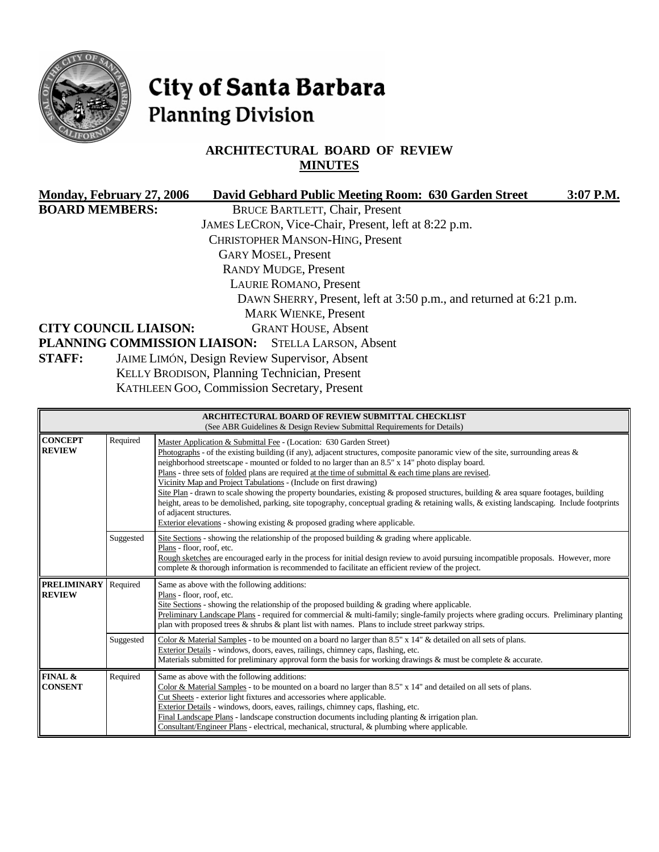

# City of Santa Barbara **Planning Division**

# **ARCHITECTURAL BOARD OF REVIEW MINUTES**

| Monday, February 27, 2006                                 | David Gebhard Public Meeting Room: 630 Garden Street               | 3:07 P.M. |
|-----------------------------------------------------------|--------------------------------------------------------------------|-----------|
| <b>BOARD MEMBERS:</b>                                     | <b>BRUCE BARTLETT, Chair, Present</b>                              |           |
|                                                           | JAMES LECRON, Vice-Chair, Present, left at 8:22 p.m.               |           |
|                                                           | <b>CHRISTOPHER MANSON-HING, Present</b>                            |           |
|                                                           | <b>GARY MOSEL, Present</b>                                         |           |
|                                                           | <b>RANDY MUDGE, Present</b>                                        |           |
|                                                           | <b>LAURIE ROMANO, Present</b>                                      |           |
|                                                           | DAWN SHERRY, Present, left at 3:50 p.m., and returned at 6:21 p.m. |           |
|                                                           | <b>MARK WIENKE, Present</b>                                        |           |
| <b>CITY COUNCIL LIAISON:</b>                              | <b>GRANT HOUSE, Absent</b>                                         |           |
| <b>PLANNING COMMISSION LIAISON:</b> STELLA LARSON, Absent |                                                                    |           |
| <b>STAFF:</b>                                             | JAIME LIMÓN, Design Review Supervisor, Absent                      |           |
|                                                           | KELLY BRODISON, Planning Technician, Present                       |           |
|                                                           | KATHLEEN GOO, Commission Secretary, Present                        |           |
|                                                           |                                                                    |           |

|                                     |           | ARCHITECTURAL BOARD OF REVIEW SUBMITTAL CHECKLIST<br>(See ABR Guidelines & Design Review Submittal Requirements for Details)                                                                                                                                                                                                                                                                                                                                                                                                                                                                                                                                                                                                                                                                                                                                                                         |
|-------------------------------------|-----------|------------------------------------------------------------------------------------------------------------------------------------------------------------------------------------------------------------------------------------------------------------------------------------------------------------------------------------------------------------------------------------------------------------------------------------------------------------------------------------------------------------------------------------------------------------------------------------------------------------------------------------------------------------------------------------------------------------------------------------------------------------------------------------------------------------------------------------------------------------------------------------------------------|
| <b>CONCEPT</b><br><b>REVIEW</b>     | Required  | Master Application & Submittal Fee - (Location: 630 Garden Street)<br>Photographs - of the existing building (if any), adjacent structures, composite panoramic view of the site, surrounding areas $\&$<br>neighborhood streetscape - mounted or folded to no larger than an 8.5" x 14" photo display board.<br>Plans - three sets of folded plans are required at the time of submittal $\&$ each time plans are revised.<br>Vicinity Map and Project Tabulations - (Include on first drawing)<br>Site Plan - drawn to scale showing the property boundaries, existing & proposed structures, building & area square footages, building<br>height, areas to be demolished, parking, site topography, conceptual grading & retaining walls, & existing landscaping. Include footprints<br>of adjacent structures.<br>Exterior elevations - showing existing $\&$ proposed grading where applicable. |
|                                     | Suggested | Site Sections - showing the relationship of the proposed building $\&$ grading where applicable.<br>Plans - floor, roof, etc.<br>Rough sketches are encouraged early in the process for initial design review to avoid pursuing incompatible proposals. However, more<br>complete & thorough information is recommended to facilitate an efficient review of the project.                                                                                                                                                                                                                                                                                                                                                                                                                                                                                                                            |
| <b>PRELIMINARY</b><br><b>REVIEW</b> | Required  | Same as above with the following additions:<br>Plans - floor, roof, etc.<br>Site Sections - showing the relationship of the proposed building $\&$ grading where applicable.<br>Preliminary Landscape Plans - required for commercial & multi-family; single-family projects where grading occurs. Preliminary planting<br>plan with proposed trees $\&$ shrubs $\&$ plant list with names. Plans to include street parkway strips.                                                                                                                                                                                                                                                                                                                                                                                                                                                                  |
|                                     | Suggested | Color & Material Samples - to be mounted on a board no larger than 8.5" x 14" & detailed on all sets of plans.<br>Exterior Details - windows, doors, eaves, railings, chimney caps, flashing, etc.<br>Materials submitted for preliminary approval form the basis for working drawings $\&$ must be complete $\&$ accurate.                                                                                                                                                                                                                                                                                                                                                                                                                                                                                                                                                                          |
| FINAL &<br><b>CONSENT</b>           | Required  | Same as above with the following additions:<br>Color & Material Samples - to be mounted on a board no larger than $8.5"$ x $14"$ and detailed on all sets of plans.<br>Cut Sheets - exterior light fixtures and accessories where applicable.<br>Exterior Details - windows, doors, eaves, railings, chimney caps, flashing, etc.<br>Final Landscape Plans - landscape construction documents including planting & irrigation plan.<br>Consultant/Engineer Plans - electrical, mechanical, structural, & plumbing where applicable.                                                                                                                                                                                                                                                                                                                                                                  |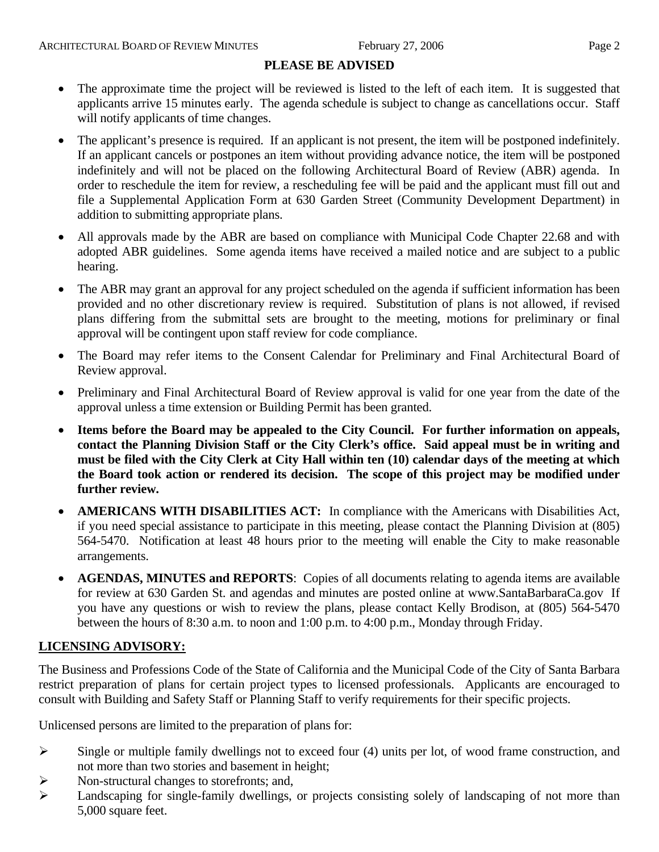# **PLEASE BE ADVISED**

- The approximate time the project will be reviewed is listed to the left of each item. It is suggested that applicants arrive 15 minutes early. The agenda schedule is subject to change as cancellations occur. Staff will notify applicants of time changes.
- The applicant's presence is required. If an applicant is not present, the item will be postponed indefinitely. If an applicant cancels or postpones an item without providing advance notice, the item will be postponed indefinitely and will not be placed on the following Architectural Board of Review (ABR) agenda. In order to reschedule the item for review, a rescheduling fee will be paid and the applicant must fill out and file a Supplemental Application Form at 630 Garden Street (Community Development Department) in addition to submitting appropriate plans.
- All approvals made by the ABR are based on compliance with Municipal Code Chapter 22.68 and with adopted ABR guidelines. Some agenda items have received a mailed notice and are subject to a public hearing.
- The ABR may grant an approval for any project scheduled on the agenda if sufficient information has been provided and no other discretionary review is required. Substitution of plans is not allowed, if revised plans differing from the submittal sets are brought to the meeting, motions for preliminary or final approval will be contingent upon staff review for code compliance.
- The Board may refer items to the Consent Calendar for Preliminary and Final Architectural Board of Review approval.
- Preliminary and Final Architectural Board of Review approval is valid for one year from the date of the approval unless a time extension or Building Permit has been granted.
- **Items before the Board may be appealed to the City Council. For further information on appeals, contact the Planning Division Staff or the City Clerk's office. Said appeal must be in writing and must be filed with the City Clerk at City Hall within ten (10) calendar days of the meeting at which the Board took action or rendered its decision. The scope of this project may be modified under further review.**
- **AMERICANS WITH DISABILITIES ACT:** In compliance with the Americans with Disabilities Act, if you need special assistance to participate in this meeting, please contact the Planning Division at (805) 564-5470. Notification at least 48 hours prior to the meeting will enable the City to make reasonable arrangements.
- **AGENDAS, MINUTES and REPORTS**: Copies of all documents relating to agenda items are available for review at 630 Garden St. and agendas and minutes are posted online at [www.SantaBarbaraCa.gov](http://www.santabarbaraca.gov/) If you have any questions or wish to review the plans, please contact Kelly Brodison, at (805) 564-5470 between the hours of 8:30 a.m. to noon and 1:00 p.m. to 4:00 p.m., Monday through Friday.

# **LICENSING ADVISORY:**

The Business and Professions Code of the State of California and the Municipal Code of the City of Santa Barbara restrict preparation of plans for certain project types to licensed professionals. Applicants are encouraged to consult with Building and Safety Staff or Planning Staff to verify requirements for their specific projects.

Unlicensed persons are limited to the preparation of plans for:

- $\triangleright$  Single or multiple family dwellings not to exceed four (4) units per lot, of wood frame construction, and not more than two stories and basement in height;
- ¾ Non-structural changes to storefronts; and,
- ¾ Landscaping for single-family dwellings, or projects consisting solely of landscaping of not more than 5,000 square feet.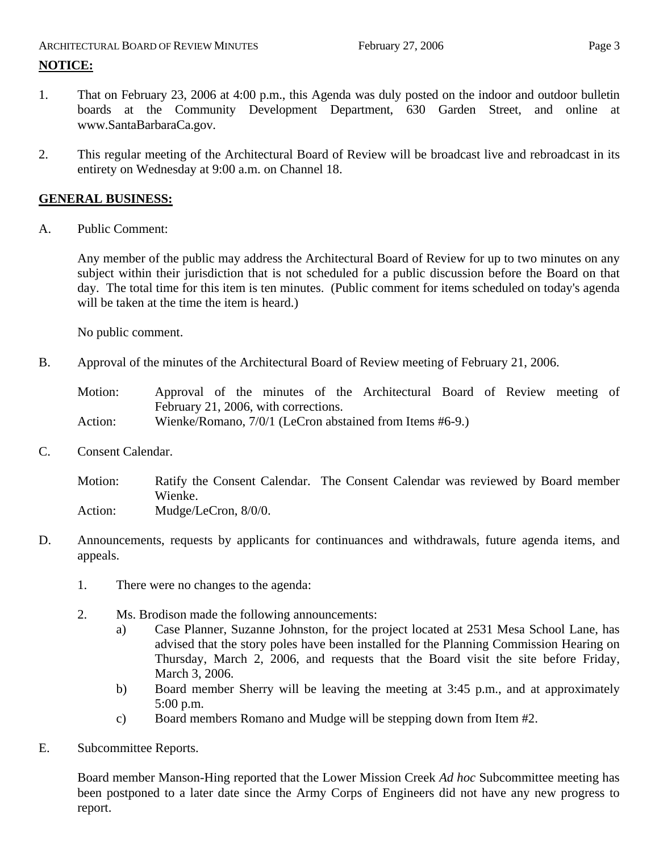# ARCHITECTURAL BOARD OF REVIEW MINUTES February 27, 2006 Page 3

# **NOTICE:**

- 1. That on February 23, 2006 at 4:00 p.m., this Agenda was duly posted on the indoor and outdoor bulletin boards at the Community Development Department, 630 Garden Street, and online at www.SantaBarbaraCa.gov.
- 2. This regular meeting of the Architectural Board of Review will be broadcast live and rebroadcast in its entirety on Wednesday at 9:00 a.m. on Channel 18.

# **GENERAL BUSINESS:**

A. Public Comment:

Any member of the public may address the Architectural Board of Review for up to two minutes on any subject within their jurisdiction that is not scheduled for a public discussion before the Board on that day. The total time for this item is ten minutes. (Public comment for items scheduled on today's agenda will be taken at the time the item is heard.)

No public comment.

B. Approval of the minutes of the Architectural Board of Review meeting of February 21, 2006.

Motion: Approval of the minutes of the Architectural Board of Review meeting of February 21, 2006, with corrections. Action: Wienke/Romano, 7/0/1 (LeCron abstained from Items #6-9.)

C. Consent Calendar.

Motion: Ratify the Consent Calendar. The Consent Calendar was reviewed by Board member Wienke. Action: Mudge/LeCron, 8/0/0.

- D. Announcements, requests by applicants for continuances and withdrawals, future agenda items, and appeals.
	- 1. There were no changes to the agenda:
	- 2. Ms. Brodison made the following announcements:
		- a) Case Planner, Suzanne Johnston, for the project located at 2531 Mesa School Lane, has advised that the story poles have been installed for the Planning Commission Hearing on Thursday, March 2, 2006, and requests that the Board visit the site before Friday, March 3, 2006.
		- b) Board member Sherry will be leaving the meeting at 3:45 p.m., and at approximately 5:00 p.m.
		- c) Board members Romano and Mudge will be stepping down from Item #2.
- E. Subcommittee Reports.

Board member Manson-Hing reported that the Lower Mission Creek *Ad hoc* Subcommittee meeting has been postponed to a later date since the Army Corps of Engineers did not have any new progress to report.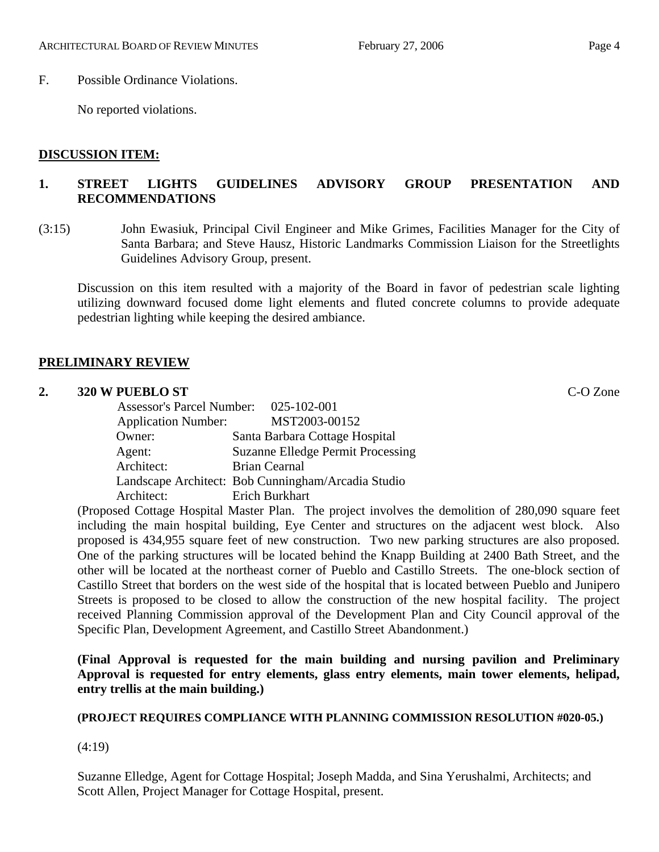# F. Possible Ordinance Violations.

No reported violations.

# **DISCUSSION ITEM:**

# **1. STREET LIGHTS GUIDELINES ADVISORY GROUP PRESENTATION AND RECOMMENDATIONS**

(3:15) John Ewasiuk, Principal Civil Engineer and Mike Grimes, Facilities Manager for the City of Santa Barbara; and Steve Hausz, Historic Landmarks Commission Liaison for the Streetlights Guidelines Advisory Group, present.

Discussion on this item resulted with a majority of the Board in favor of pedestrian scale lighting utilizing downward focused dome light elements and fluted concrete columns to provide adequate pedestrian lighting while keeping the desired ambiance.

# **PRELIMINARY REVIEW**

#### **2. 320 W PUEBLO ST** C-O Zone

| Assessor's Parcel Number: 025-102-001 |                                                    |
|---------------------------------------|----------------------------------------------------|
| <b>Application Number:</b>            | MST2003-00152                                      |
| Owner:                                | Santa Barbara Cottage Hospital                     |
| Agent:                                | <b>Suzanne Elledge Permit Processing</b>           |
| Architect:                            | <b>Brian Cearnal</b>                               |
|                                       | Landscape Architect: Bob Cunningham/Arcadia Studio |
| Architect:                            | Erich Burkhart                                     |

(Proposed Cottage Hospital Master Plan. The project involves the demolition of 280,090 square feet including the main hospital building, Eye Center and structures on the adjacent west block. Also proposed is 434,955 square feet of new construction. Two new parking structures are also proposed. One of the parking structures will be located behind the Knapp Building at 2400 Bath Street, and the other will be located at the northeast corner of Pueblo and Castillo Streets. The one-block section of Castillo Street that borders on the west side of the hospital that is located between Pueblo and Junipero Streets is proposed to be closed to allow the construction of the new hospital facility. The project received Planning Commission approval of the Development Plan and City Council approval of the Specific Plan, Development Agreement, and Castillo Street Abandonment.)

**(Final Approval is requested for the main building and nursing pavilion and Preliminary Approval is requested for entry elements, glass entry elements, main tower elements, helipad, entry trellis at the main building.)** 

#### **(PROJECT REQUIRES COMPLIANCE WITH PLANNING COMMISSION RESOLUTION #020-05.)**

(4:19)

Suzanne Elledge, Agent for Cottage Hospital; Joseph Madda, and Sina Yerushalmi, Architects; and Scott Allen, Project Manager for Cottage Hospital, present.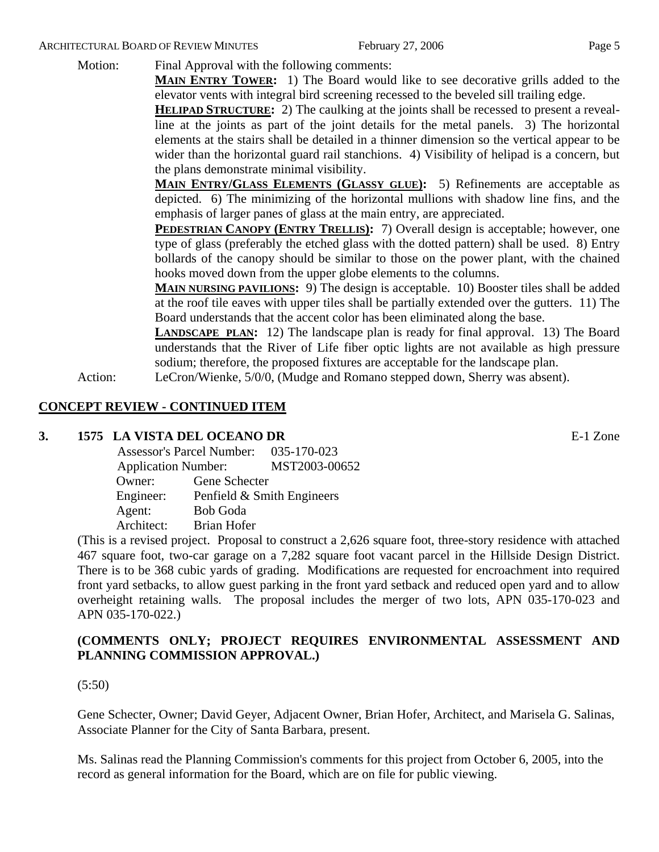#### ARCHITECTURAL BOARD OF REVIEW MINUTES February 27, 2006 February 27, 2006

Motion: Final Approval with the following comments:

**MAIN ENTRY TOWER:** 1) The Board would like to see decorative grills added to the elevator vents with integral bird screening recessed to the beveled sill trailing edge.

**HELIPAD STRUCTURE:** 2) The caulking at the joints shall be recessed to present a revealline at the joints as part of the joint details for the metal panels. 3) The horizontal elements at the stairs shall be detailed in a thinner dimension so the vertical appear to be wider than the horizontal guard rail stanchions. 4) Visibility of helipad is a concern, but the plans demonstrate minimal visibility.

**MAIN ENTRY/GLASS ELEMENTS (GLASSY GLUE):** 5) Refinements are acceptable as depicted. 6) The minimizing of the horizontal mullions with shadow line fins, and the emphasis of larger panes of glass at the main entry, are appreciated.

**PEDESTRIAN CANOPY (ENTRY TRELLIS):** 7) Overall design is acceptable; however, one type of glass (preferably the etched glass with the dotted pattern) shall be used. 8) Entry bollards of the canopy should be similar to those on the power plant, with the chained hooks moved down from the upper globe elements to the columns.

**MAIN NURSING PAVILIONS:** 9) The design is acceptable. 10) Booster tiles shall be added at the roof tile eaves with upper tiles shall be partially extended over the gutters. 11) The Board understands that the accent color has been eliminated along the base.

**LANDSCAPE PLAN:** 12) The landscape plan is ready for final approval. 13) The Board understands that the River of Life fiber optic lights are not available as high pressure sodium; therefore, the proposed fixtures are acceptable for the landscape plan.

Action: LeCron/Wienke, 5/0/0, (Mudge and Romano stepped down, Sherry was absent).

# **CONCEPT REVIEW - CONTINUED ITEM**

#### **3. 1575 LA VISTA DEL OCEANO DR** E-1 Zone

|            | Assessor's Parcel Number: 035-170-023 |                            |
|------------|---------------------------------------|----------------------------|
|            | <b>Application Number:</b>            |                            |
| Owner:     | Gene Schecter                         |                            |
| Engineer:  |                                       | Penfield & Smith Engineers |
| Agent:     | <b>Bob Goda</b>                       |                            |
| Architect: | <b>Brian Hofer</b>                    |                            |

(This is a revised project. Proposal to construct a 2,626 square foot, three-story residence with attached 467 square foot, two-car garage on a 7,282 square foot vacant parcel in the Hillside Design District. There is to be 368 cubic yards of grading. Modifications are requested for encroachment into required front yard setbacks, to allow guest parking in the front yard setback and reduced open yard and to allow overheight retaining walls. The proposal includes the merger of two lots, APN 035-170-023 and APN 035-170-022.)

# **(COMMENTS ONLY; PROJECT REQUIRES ENVIRONMENTAL ASSESSMENT AND PLANNING COMMISSION APPROVAL.)**

#### (5:50)

Gene Schecter, Owner; David Geyer, Adjacent Owner, Brian Hofer, Architect, and Marisela G. Salinas, Associate Planner for the City of Santa Barbara, present.

Ms. Salinas read the Planning Commission's comments for this project from October 6, 2005, into the record as general information for the Board, which are on file for public viewing.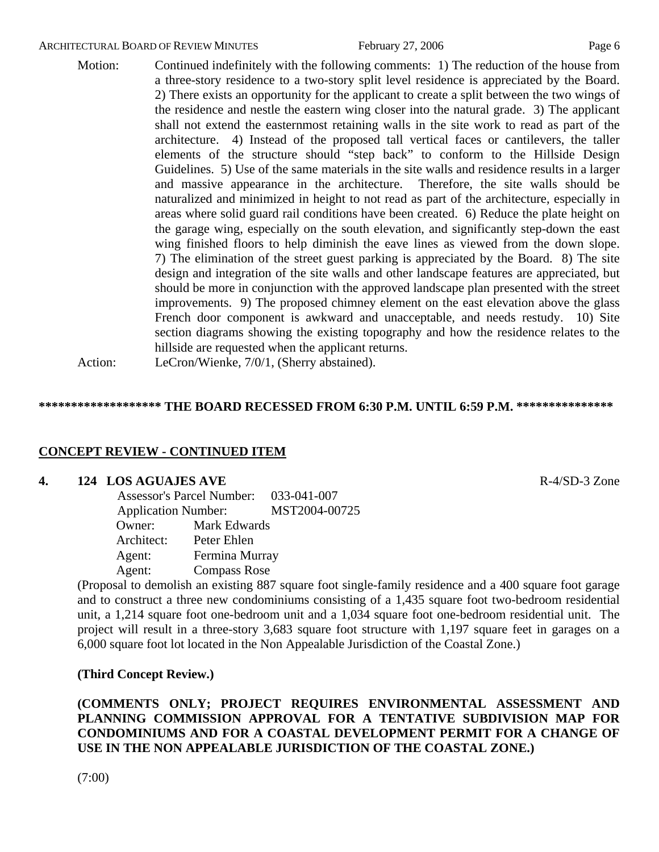#### ARCHITECTURAL BOARD OF REVIEW MINUTES February 27, 2006 February 27, 2006

Motion: Continued indefinitely with the following comments: 1) The reduction of the house from a three-story residence to a two-story split level residence is appreciated by the Board. 2) There exists an opportunity for the applicant to create a split between the two wings of the residence and nestle the eastern wing closer into the natural grade. 3) The applicant shall not extend the easternmost retaining walls in the site work to read as part of the architecture. 4) Instead of the proposed tall vertical faces or cantilevers, the taller elements of the structure should "step back" to conform to the Hillside Design Guidelines. 5) Use of the same materials in the site walls and residence results in a larger and massive appearance in the architecture. Therefore, the site walls should be naturalized and minimized in height to not read as part of the architecture, especially in areas where solid guard rail conditions have been created. 6) Reduce the plate height on the garage wing, especially on the south elevation, and significantly step-down the east wing finished floors to help diminish the eave lines as viewed from the down slope. 7) The elimination of the street guest parking is appreciated by the Board. 8) The site design and integration of the site walls and other landscape features are appreciated, but should be more in conjunction with the approved landscape plan presented with the street improvements. 9) The proposed chimney element on the east elevation above the glass French door component is awkward and unacceptable, and needs restudy. 10) Site section diagrams showing the existing topography and how the residence relates to the hillside are requested when the applicant returns.

Action: LeCron/Wienke, 7/0/1, (Sherry abstained).

#### **\*\*\*\*\*\*\*\*\*\*\*\*\*\*\*\*\*\*\* THE BOARD RECESSED FROM 6:30 P.M. UNTIL 6:59 P.M. \*\*\*\*\*\*\*\*\*\*\*\*\*\*\***

#### **CONCEPT REVIEW - CONTINUED ITEM**

#### **4. 124 LOS AGUAJES AVE**  R-4/SD-3 Zone

|                            | Assessor's Parcel Number: 033-041-007 |               |
|----------------------------|---------------------------------------|---------------|
| <b>Application Number:</b> |                                       | MST2004-00725 |
| Owner:                     | Mark Edwards                          |               |
| Architect:                 | Peter Ehlen                           |               |
| Agent:                     | Fermina Murray                        |               |
| Agent:                     | <b>Compass Rose</b>                   |               |

(Proposal to demolish an existing 887 square foot single-family residence and a 400 square foot garage and to construct a three new condominiums consisting of a 1,435 square foot two-bedroom residential unit, a 1,214 square foot one-bedroom unit and a 1,034 square foot one-bedroom residential unit. The project will result in a three-story 3,683 square foot structure with 1,197 square feet in garages on a 6,000 square foot lot located in the Non Appealable Jurisdiction of the Coastal Zone.)

#### **(Third Concept Review.)**

**(COMMENTS ONLY; PROJECT REQUIRES ENVIRONMENTAL ASSESSMENT AND PLANNING COMMISSION APPROVAL FOR A TENTATIVE SUBDIVISION MAP FOR CONDOMINIUMS AND FOR A COASTAL DEVELOPMENT PERMIT FOR A CHANGE OF USE IN THE NON APPEALABLE JURISDICTION OF THE COASTAL ZONE.)**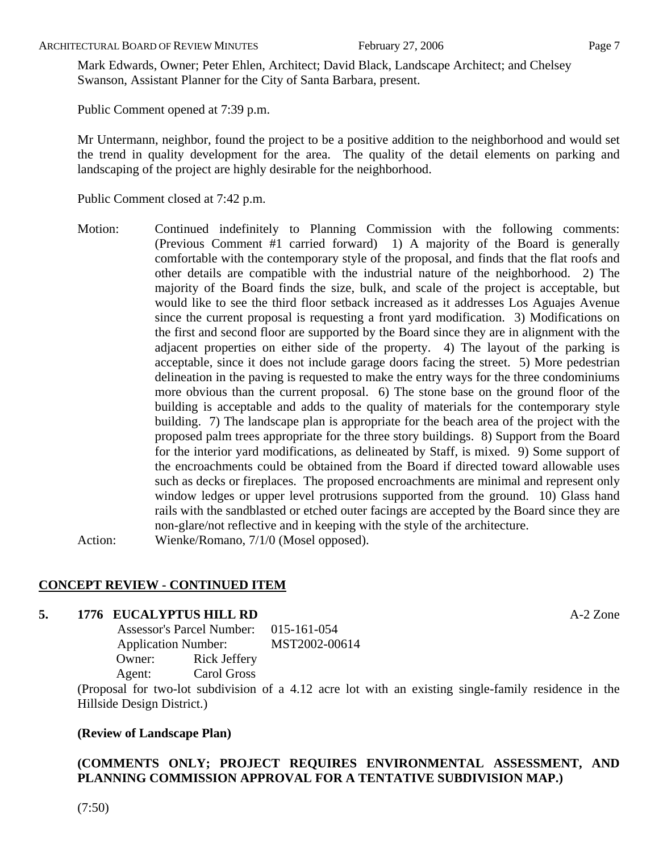ARCHITECTURAL BOARD OF REVIEW MINUTES February 27, 2006 February 27, 2006

Mark Edwards, Owner; Peter Ehlen, Architect; David Black, Landscape Architect; and Chelsey Swanson, Assistant Planner for the City of Santa Barbara, present.

Public Comment opened at 7:39 p.m.

Mr Untermann, neighbor, found the project to be a positive addition to the neighborhood and would set the trend in quality development for the area. The quality of the detail elements on parking and landscaping of the project are highly desirable for the neighborhood.

Public Comment closed at 7:42 p.m.

Motion: Continued indefinitely to Planning Commission with the following comments: (Previous Comment #1 carried forward) 1) A majority of the Board is generally comfortable with the contemporary style of the proposal, and finds that the flat roofs and other details are compatible with the industrial nature of the neighborhood. 2) The majority of the Board finds the size, bulk, and scale of the project is acceptable, but would like to see the third floor setback increased as it addresses Los Aguajes Avenue since the current proposal is requesting a front yard modification. 3) Modifications on the first and second floor are supported by the Board since they are in alignment with the adjacent properties on either side of the property. 4) The layout of the parking is acceptable, since it does not include garage doors facing the street. 5) More pedestrian delineation in the paving is requested to make the entry ways for the three condominiums more obvious than the current proposal. 6) The stone base on the ground floor of the building is acceptable and adds to the quality of materials for the contemporary style building. 7) The landscape plan is appropriate for the beach area of the project with the proposed palm trees appropriate for the three story buildings. 8) Support from the Board for the interior yard modifications, as delineated by Staff, is mixed. 9) Some support of the encroachments could be obtained from the Board if directed toward allowable uses such as decks or fireplaces. The proposed encroachments are minimal and represent only window ledges or upper level protrusions supported from the ground. 10) Glass hand rails with the sandblasted or etched outer facings are accepted by the Board since they are non-glare/not reflective and in keeping with the style of the architecture. Action: Wienke/Romano, 7/1/0 (Mosel opposed).

# **CONCEPT REVIEW - CONTINUED ITEM**

# **5. 1776 EUCALYPTUS HILL RD** A-2 Zone

 Assessor's Parcel Number: 015-161-054 Application Number: MST2002-00614 Owner: Rick Jeffery Agent: Carol Gross

(Proposal for two-lot subdivision of a 4.12 acre lot with an existing single-family residence in the Hillside Design District.)

# **(Review of Landscape Plan)**

# **(COMMENTS ONLY; PROJECT REQUIRES ENVIRONMENTAL ASSESSMENT, AND PLANNING COMMISSION APPROVAL FOR A TENTATIVE SUBDIVISION MAP.)**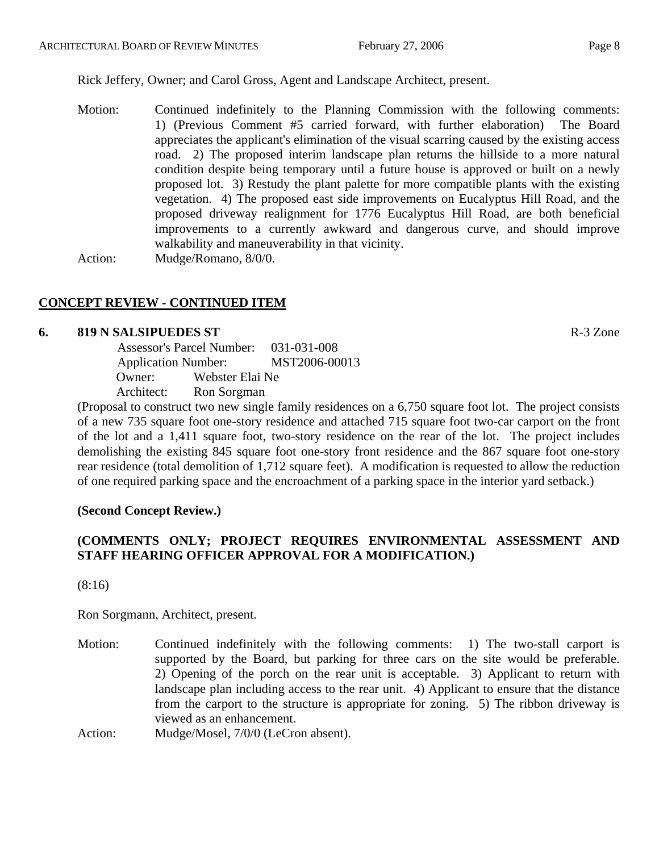Rick Jeffery, Owner; and Carol Gross, Agent and Landscape Architect, present.

Motion: Continued indefinitely to the Planning Commission with the following comments: 1) (Previous Comment #5 carried forward, with further elaboration) The Board appreciates the applicant's elimination of the visual scarring caused by the existing access road. 2) The proposed interim landscape plan returns the hillside to a more natural condition despite being temporary until a future house is approved or built on a newly proposed lot. 3) Restudy the plant palette for more compatible plants with the existing vegetation. 4) The proposed east side improvements on Eucalyptus Hill Road, and the proposed driveway realignment for 1776 Eucalyptus Hill Road, are both beneficial improvements to a currently awkward and dangerous curve, and should improve walkability and maneuverability in that vicinity.

Action: Mudge/Romano, 8/0/0.

# **CONCEPT REVIEW - CONTINUED ITEM**

#### **6. 819 N SALSIPUEDES ST** R-3 Zone

|                            | Assessor's Parcel Number: | 031-031-008   |
|----------------------------|---------------------------|---------------|
| <b>Application Number:</b> |                           | MST2006-00013 |
| Owner:                     | Webster Elai Ne           |               |
| Architect:                 | Ron Sorgman               |               |

(Proposal to construct two new single family residences on a 6,750 square foot lot. The project consists of a new 735 square foot one-story residence and attached 715 square foot two-car carport on the front of the lot and a 1,411 square foot, two-story residence on the rear of the lot. The project includes demolishing the existing 845 square foot one-story front residence and the 867 square foot one-story rear residence (total demolition of 1,712 square feet). A modification is requested to allow the reduction of one required parking space and the encroachment of a parking space in the interior yard setback.)

#### **(Second Concept Review.)**

# **(COMMENTS ONLY; PROJECT REQUIRES ENVIRONMENTAL ASSESSMENT AND STAFF HEARING OFFICER APPROVAL FOR A MODIFICATION.)**

(8:16)

Ron Sorgmann, Architect, present.

- Motion: Continued indefinitely with the following comments: 1) The two-stall carport is supported by the Board, but parking for three cars on the site would be preferable. 2) Opening of the porch on the rear unit is acceptable. 3) Applicant to return with landscape plan including access to the rear unit. 4) Applicant to ensure that the distance from the carport to the structure is appropriate for zoning. 5) The ribbon driveway is viewed as an enhancement.
- Action: Mudge/Mosel, 7/0/0 (LeCron absent).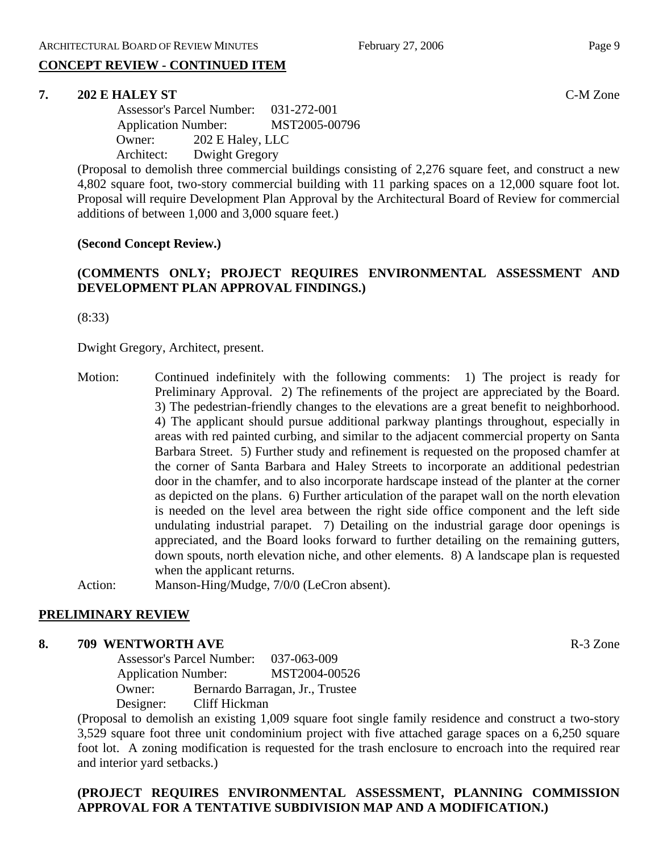# **CONCEPT REVIEW - CONTINUED ITEM**

# **7. 202 E HALEY ST** C-M Zone

 Assessor's Parcel Number: 031-272-001 Application Number: MST2005-00796 Owner: 202 E Haley, LLC Architect: Dwight Gregory

(Proposal to demolish three commercial buildings consisting of 2,276 square feet, and construct a new 4,802 square foot, two-story commercial building with 11 parking spaces on a 12,000 square foot lot. Proposal will require Development Plan Approval by the Architectural Board of Review for commercial additions of between 1,000 and 3,000 square feet.)

# **(Second Concept Review.)**

# **(COMMENTS ONLY; PROJECT REQUIRES ENVIRONMENTAL ASSESSMENT AND DEVELOPMENT PLAN APPROVAL FINDINGS.)**

(8:33)

Dwight Gregory, Architect, present.

- Motion: Continued indefinitely with the following comments: 1) The project is ready for Preliminary Approval. 2) The refinements of the project are appreciated by the Board. 3) The pedestrian-friendly changes to the elevations are a great benefit to neighborhood. 4) The applicant should pursue additional parkway plantings throughout, especially in areas with red painted curbing, and similar to the adjacent commercial property on Santa Barbara Street. 5) Further study and refinement is requested on the proposed chamfer at the corner of Santa Barbara and Haley Streets to incorporate an additional pedestrian door in the chamfer, and to also incorporate hardscape instead of the planter at the corner as depicted on the plans. 6) Further articulation of the parapet wall on the north elevation is needed on the level area between the right side office component and the left side undulating industrial parapet. 7) Detailing on the industrial garage door openings is appreciated, and the Board looks forward to further detailing on the remaining gutters, down spouts, north elevation niche, and other elements. 8) A landscape plan is requested when the applicant returns.
- Action: Manson-Hing/Mudge, 7/0/0 (LeCron absent).

#### **PRELIMINARY REVIEW**

#### **8. 709 WENTWORTH AVE R-3** Zone

 Assessor's Parcel Number: 037-063-009 Application Number: MST2004-00526 Owner: Bernardo Barragan, Jr., Trustee Designer: Cliff Hickman

(Proposal to demolish an existing 1,009 square foot single family residence and construct a two-story 3,529 square foot three unit condominium project with five attached garage spaces on a 6,250 square foot lot. A zoning modification is requested for the trash enclosure to encroach into the required rear and interior yard setbacks.)

# **(PROJECT REQUIRES ENVIRONMENTAL ASSESSMENT, PLANNING COMMISSION APPROVAL FOR A TENTATIVE SUBDIVISION MAP AND A MODIFICATION.)**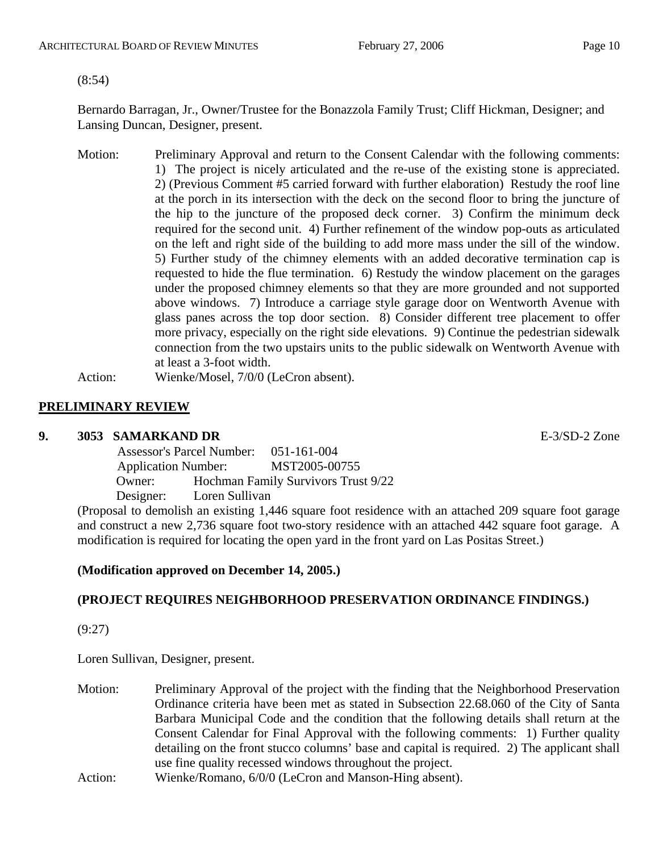(8:54)

Bernardo Barragan, Jr., Owner/Trustee for the Bonazzola Family Trust; Cliff Hickman, Designer; and Lansing Duncan, Designer, present.

- Motion: Preliminary Approval and return to the Consent Calendar with the following comments: 1) The project is nicely articulated and the re-use of the existing stone is appreciated. 2) (Previous Comment #5 carried forward with further elaboration) Restudy the roof line at the porch in its intersection with the deck on the second floor to bring the juncture of the hip to the juncture of the proposed deck corner. 3) Confirm the minimum deck required for the second unit. 4) Further refinement of the window pop-outs as articulated on the left and right side of the building to add more mass under the sill of the window. 5) Further study of the chimney elements with an added decorative termination cap is requested to hide the flue termination. 6) Restudy the window placement on the garages under the proposed chimney elements so that they are more grounded and not supported above windows. 7) Introduce a carriage style garage door on Wentworth Avenue with glass panes across the top door section. 8) Consider different tree placement to offer more privacy, especially on the right side elevations. 9) Continue the pedestrian sidewalk connection from the two upstairs units to the public sidewalk on Wentworth Avenue with at least a 3-foot width.
- Action: Wienke/Mosel, 7/0/0 (LeCron absent).

# **PRELIMINARY REVIEW**

#### **9. 3053 SAMARKAND DR** E-3/SD-2 Zone

 Assessor's Parcel Number: 051-161-004 Application Number: MST2005-00755 Owner: Hochman Family Survivors Trust 9/22 Designer: Loren Sullivan

(Proposal to demolish an existing 1,446 square foot residence with an attached 209 square foot garage and construct a new 2,736 square foot two-story residence with an attached 442 square foot garage. A modification is required for locating the open yard in the front yard on Las Positas Street.)

# **(Modification approved on December 14, 2005.)**

# **(PROJECT REQUIRES NEIGHBORHOOD PRESERVATION ORDINANCE FINDINGS.)**

(9:27)

Loren Sullivan, Designer, present.

- Motion: Preliminary Approval of the project with the finding that the Neighborhood Preservation Ordinance criteria have been met as stated in Subsection 22.68.060 of the City of Santa Barbara Municipal Code and the condition that the following details shall return at the Consent Calendar for Final Approval with the following comments: 1) Further quality detailing on the front stucco columns' base and capital is required. 2) The applicant shall use fine quality recessed windows throughout the project.
- Action: Wienke/Romano, 6/0/0 (LeCron and Manson-Hing absent).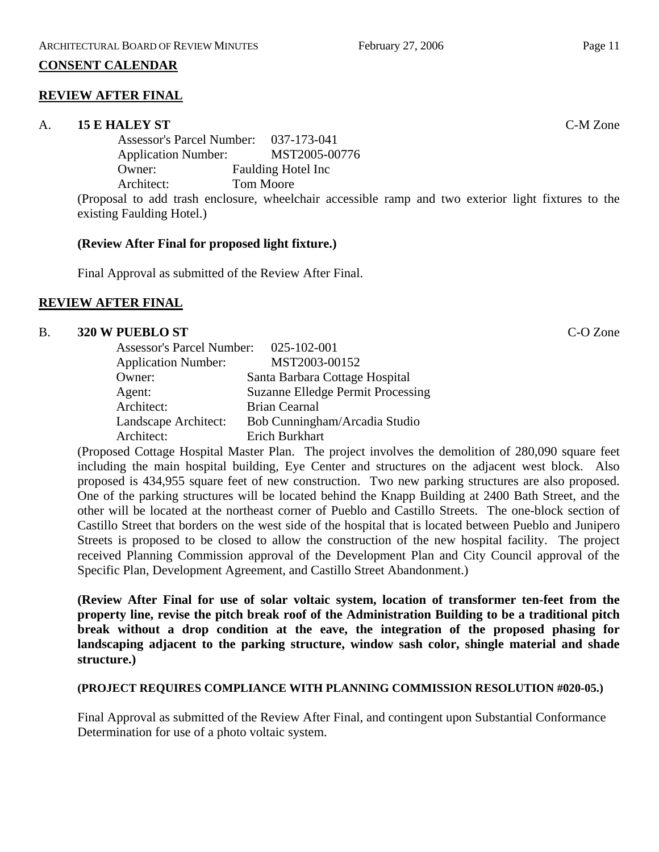# **CONSENT CALENDAR**

# **REVIEW AFTER FINAL**

#### A. **15 E HALEY ST** C-M Zone

Assessor's Parcel Number: 037-173-041 Application Number: MST2005-00776 Owner: Faulding Hotel Inc Architect: Tom Moore

(Proposal to add trash enclosure, wheelchair accessible ramp and two exterior light fixtures to the existing Faulding Hotel.)

#### **(Review After Final for proposed light fixture.)**

Final Approval as submitted of the Review After Final.

# **REVIEW AFTER FINAL**

#### B. **320 W PUEBLO ST** C-O Zone

| <b>Assessor's Parcel Number:</b> | 025-102-001                              |
|----------------------------------|------------------------------------------|
| <b>Application Number:</b>       | MST2003-00152                            |
| Owner:                           | Santa Barbara Cottage Hospital           |
| Agent:                           | <b>Suzanne Elledge Permit Processing</b> |
| Architect:                       | <b>Brian Cearnal</b>                     |
| Landscape Architect:             | Bob Cunningham/Arcadia Studio            |
| Architect:                       | Erich Burkhart                           |

(Proposed Cottage Hospital Master Plan. The project involves the demolition of 280,090 square feet including the main hospital building, Eye Center and structures on the adjacent west block. Also proposed is 434,955 square feet of new construction. Two new parking structures are also proposed. One of the parking structures will be located behind the Knapp Building at 2400 Bath Street, and the other will be located at the northeast corner of Pueblo and Castillo Streets. The one-block section of Castillo Street that borders on the west side of the hospital that is located between Pueblo and Junipero Streets is proposed to be closed to allow the construction of the new hospital facility. The project received Planning Commission approval of the Development Plan and City Council approval of the Specific Plan, Development Agreement, and Castillo Street Abandonment.)

**(Review After Final for use of solar voltaic system, location of transformer ten-feet from the property line, revise the pitch break roof of the Administration Building to be a traditional pitch break without a drop condition at the eave, the integration of the proposed phasing for landscaping adjacent to the parking structure, window sash color, shingle material and shade structure.)** 

#### **(PROJECT REQUIRES COMPLIANCE WITH PLANNING COMMISSION RESOLUTION #020-05.)**

Final Approval as submitted of the Review After Final, and contingent upon Substantial Conformance Determination for use of a photo voltaic system.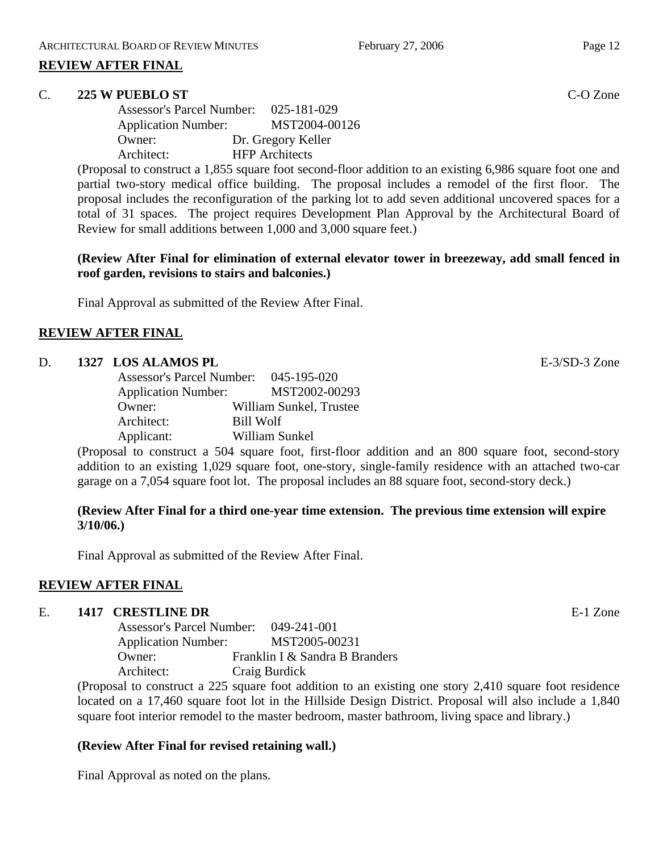#### **REVIEW AFTER FINAL**

#### C. **225 W PUEBLO ST** C-O Zone

Assessor's Parcel Number: 025-181-029 Application Number: MST2004-00126 Owner: Dr. Gregory Keller Architect: HFP Architects

(Proposal to construct a 1,855 square foot second-floor addition to an existing 6,986 square foot one and partial two-story medical office building. The proposal includes a remodel of the first floor. The proposal includes the reconfiguration of the parking lot to add seven additional uncovered spaces for a total of 31 spaces. The project requires Development Plan Approval by the Architectural Board of Review for small additions between 1,000 and 3,000 square feet.)

**(Review After Final for elimination of external elevator tower in breezeway, add small fenced in roof garden, revisions to stairs and balconies.)** 

Final Approval as submitted of the Review After Final.

# **REVIEW AFTER FINAL**

#### D. **1327 LOS ALAMOS PL E-3/SD-3** Zone

| <b>Assessor's Parcel Number:</b> | 045-195-020             |
|----------------------------------|-------------------------|
| <b>Application Number:</b>       | MST2002-00293           |
| Owner:                           | William Sunkel, Trustee |
| Architect:                       | Bill Wolf               |
| Applicant:                       | William Sunkel          |

(Proposal to construct a 504 square foot, first-floor addition and an 800 square foot, second-story addition to an existing 1,029 square foot, one-story, single-family residence with an attached two-car garage on a 7,054 square foot lot. The proposal includes an 88 square foot, second-story deck.)

# **(Review After Final for a third one-year time extension. The previous time extension will expire 3/10/06.)**

Final Approval as submitted of the Review After Final.

#### **REVIEW AFTER FINAL**

#### E. **1417 CRESTLINE DR** E-1 Zone

| <b>Assessor's Parcel Number:</b> | $049 - 241 - 001$              |
|----------------------------------|--------------------------------|
| <b>Application Number:</b>       | MST2005-00231                  |
| Owner:                           | Franklin I & Sandra B Branders |
| Architect:                       | Craig Burdick                  |

(Proposal to construct a 225 square foot addition to an existing one story 2,410 square foot residence located on a 17,460 square foot lot in the Hillside Design District. Proposal will also include a 1,840 square foot interior remodel to the master bedroom, master bathroom, living space and library.)

# **(Review After Final for revised retaining wall.)**

Final Approval as noted on the plans.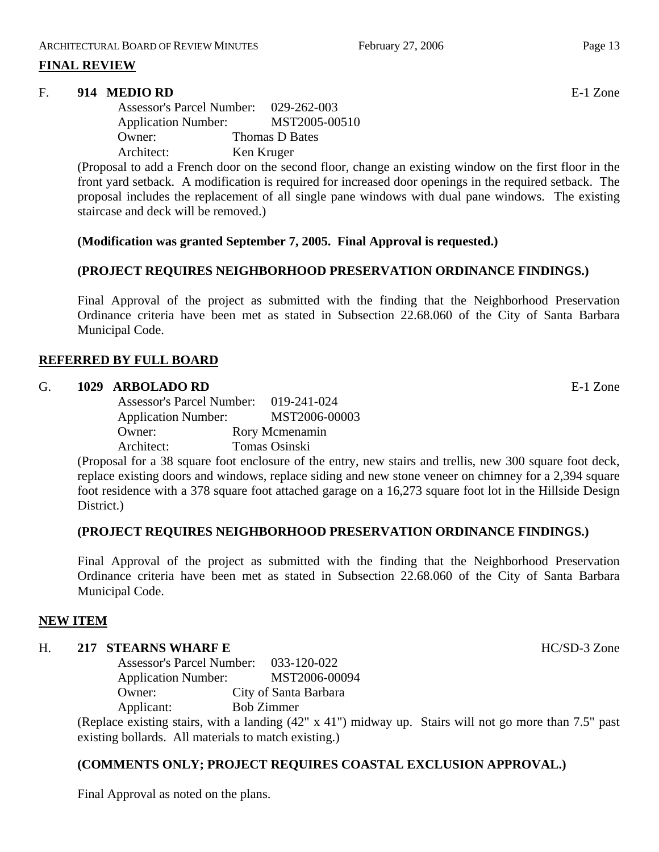# **FINAL REVIEW**

#### F. **914 MEDIO RD** E-1 Zone

Assessor's Parcel Number: 029-262-003 Application Number: MST2005-00510 Owner: Thomas D Bates Architect: Ken Kruger

(Proposal to add a French door on the second floor, change an existing window on the first floor in the front yard setback. A modification is required for increased door openings in the required setback. The proposal includes the replacement of all single pane windows with dual pane windows. The existing staircase and deck will be removed.)

#### **(Modification was granted September 7, 2005. Final Approval is requested.)**

#### **(PROJECT REQUIRES NEIGHBORHOOD PRESERVATION ORDINANCE FINDINGS.)**

Final Approval of the project as submitted with the finding that the Neighborhood Preservation Ordinance criteria have been met as stated in Subsection 22.68.060 of the City of Santa Barbara Municipal Code.

#### **REFERRED BY FULL BOARD**

#### G. **1029 ARBOLADO RD** E-1 Zone

Assessor's Parcel Number: 019-241-024 Application Number: MST2006-00003 Owner: Rory Mcmenamin Architect: Tomas Osinski

(Proposal for a 38 square foot enclosure of the entry, new stairs and trellis, new 300 square foot deck, replace existing doors and windows, replace siding and new stone veneer on chimney for a 2,394 square foot residence with a 378 square foot attached garage on a 16,273 square foot lot in the Hillside Design District.)

#### **(PROJECT REQUIRES NEIGHBORHOOD PRESERVATION ORDINANCE FINDINGS.)**

Final Approval of the project as submitted with the finding that the Neighborhood Preservation Ordinance criteria have been met as stated in Subsection 22.68.060 of the City of Santa Barbara Municipal Code.

#### **NEW ITEM**

# H. **217 STEARNS WHARF E** HC/SD-3 Zone

Assessor's Parcel Number: 033-120-022 Application Number: MST2006-00094 Owner: City of Santa Barbara Applicant: Bob Zimmer

(Replace existing stairs, with a landing (42" x 41") midway up. Stairs will not go more than 7.5" past existing bollards. All materials to match existing.)

# **(COMMENTS ONLY; PROJECT REQUIRES COASTAL EXCLUSION APPROVAL.)**

Final Approval as noted on the plans.